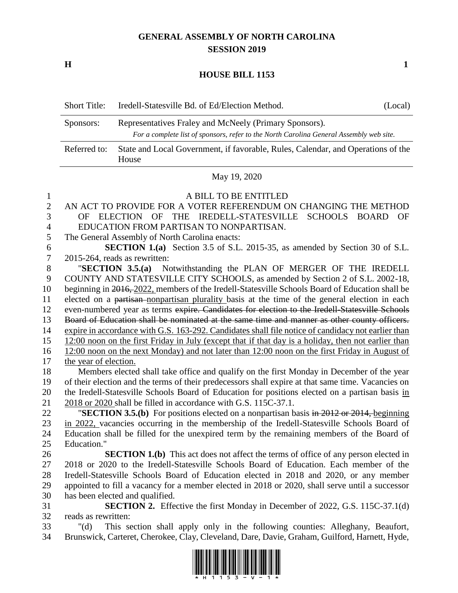## **GENERAL ASSEMBLY OF NORTH CAROLINA SESSION 2019**

**H 1**

## **HOUSE BILL 1153**

|                                | <b>Short Title:</b>                                                                                                                                            | Iredell-Statesville Bd. of Ed/Election Method.                                           | (Local) |  |
|--------------------------------|----------------------------------------------------------------------------------------------------------------------------------------------------------------|------------------------------------------------------------------------------------------|---------|--|
|                                | Representatives Fraley and McNeely (Primary Sponsors).<br>Sponsors:<br>For a complete list of sponsors, refer to the North Carolina General Assembly web site. |                                                                                          |         |  |
|                                | Referred to:<br>State and Local Government, if favorable, Rules, Calendar, and Operations of the<br>House                                                      |                                                                                          |         |  |
|                                | May 19, 2020                                                                                                                                                   |                                                                                          |         |  |
| $\mathbf{1}$<br>$\overline{2}$ |                                                                                                                                                                | A BILL TO BE ENTITLED<br>AN ACT TO PROVIDE FOR A VOTER REFERENDUM ON CHANGING THE METHOD |         |  |
| 3                              | OF                                                                                                                                                             | ELECTION OF THE IREDELL-STATESVILLE<br>SCHOOLS BOARD                                     | OF      |  |
| 4                              | EDUCATION FROM PARTISAN TO NONPARTISAN.                                                                                                                        |                                                                                          |         |  |
| 5                              | The General Assembly of North Carolina enacts:                                                                                                                 |                                                                                          |         |  |
| 6                              | <b>SECTION 1.(a)</b> Section 3.5 of S.L. 2015-35, as amended by Section 30 of S.L.                                                                             |                                                                                          |         |  |
| 7                              | 2015-264, reads as rewritten:                                                                                                                                  |                                                                                          |         |  |
| 8                              |                                                                                                                                                                | "SECTION 3.5.(a) Notwithstanding the PLAN OF MERGER OF THE IREDELL                       |         |  |

 COUNTY AND STATESVILLE CITY SCHOOLS, as amended by Section 2 of S.L. 2002-18, beginning in 2016, 2022, members of the Iredell-Statesville Schools Board of Education shall be elected on a partisan nonpartisan plurality basis at the time of the general election in each even-numbered year as terms expire. Candidates for election to the Iredell-Statesville Schools Board of Education shall be nominated at the same time and manner as other county officers. expire in accordance with G.S. 163-292. Candidates shall file notice of candidacy not earlier than 12:00 noon on the first Friday in July (except that if that day is a holiday, then not earlier than 12:00 noon on the next Monday) and not later than 12:00 noon on the first Friday in August of the year of election. Members elected shall take office and qualify on the first Monday in December of the year of their election and the terms of their predecessors shall expire at that same time. Vacancies on the Iredell-Statesville Schools Board of Education for positions elected on a partisan basis in

2018 or 2020 shall be filled in accordance with G.S. 115C-37.1.

 "**SECTION 3.5.(b)** For positions elected on a nonpartisan basis in 2012 or 2014, beginning in 2022, vacancies occurring in the membership of the Iredell-Statesville Schools Board of Education shall be filled for the unexpired term by the remaining members of the Board of Education."

 **SECTION 1.(b)** This act does not affect the terms of office of any person elected in 2018 or 2020 to the Iredell-Statesville Schools Board of Education. Each member of the Iredell-Statesville Schools Board of Education elected in 2018 and 2020, or any member appointed to fill a vacancy for a member elected in 2018 or 2020, shall serve until a successor has been elected and qualified.

 **SECTION 2.** Effective the first Monday in December of 2022, G.S. 115C-37.1(d) reads as rewritten:

 "(d) This section shall apply only in the following counties: Alleghany, Beaufort, Brunswick, Carteret, Cherokee, Clay, Cleveland, Dare, Davie, Graham, Guilford, Harnett, Hyde,